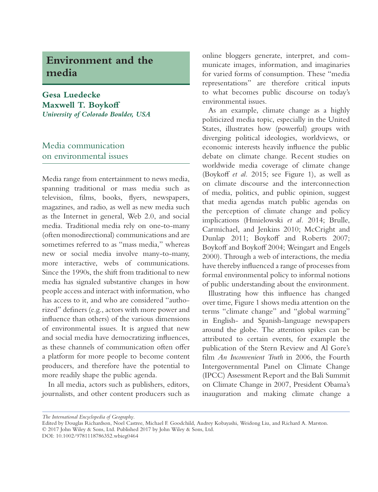# **Environment and the media**

**Gesa Luedecke Maxwell T. Boykoff** *University of Colorado Boulder, USA*

### Media communication on environmental issues

Media range from entertainment to news media, spanning traditional or mass media such as television, films, books, flyers, newspapers, magazines, and radio, as well as new media such as the Internet in general, Web 2.0, and social media. Traditional media rely on one-to-many (often monodirectional) communications and are sometimes referred to as "mass media," whereas new or social media involve many-to-many, more interactive, webs of communications. Since the 1990s, the shift from traditional to new media has signaled substantive changes in how people access and interact with information, who has access to it, and who are considered "authorized" definers (e.g., actors with more power and influence than others) of the various dimensions of environmental issues. It is argued that new and social media have democratizing influences, as these channels of communication often offer a platform for more people to become content producers, and therefore have the potential to more readily shape the public agenda.

In all media, actors such as publishers, editors, journalists, and other content producers such as

online bloggers generate, interpret, and communicate images, information, and imaginaries for varied forms of consumption. These "media representations" are therefore critical inputs to what becomes public discourse on today's environmental issues.

As an example, climate change as a highly politicized media topic, especially in the United States, illustrates how (powerful) groups with diverging political ideologies, worldviews, or economic interests heavily influence the public debate on climate change. Recent studies on worldwide media coverage of climate change (Boykoff *et al.* 2015; see Figure 1), as well as on climate discourse and the interconnection of media, politics, and public opinion, suggest that media agendas match public agendas on the perception of climate change and policy implications (Hmielowski *et al.* 2014; Brulle, Carmichael, and Jenkins 2010; McCright and Dunlap 2011; Boykoff and Roberts 2007; Boykoff and Boykoff 2004; Weingart and Engels 2000). Through a web of interactions, the media have thereby influenced a range of processes from formal environmental policy to informal notions of public understanding about the environment.

Illustrating how this influence has changed over time, Figure 1 shows media attention on the terms "climate change" and "global warming" in English- and Spanish-language newspapers around the globe. The attention spikes can be attributed to certain events, for example the publication of the Stern Review and Al Gore's film *An Inconvenient Truth* in 2006, the Fourth Intergovernmental Panel on Climate Change (IPCC) Assessment Report and the Bali Summit on Climate Change in 2007, President Obama's inauguration and making climate change a

*The International Encyclopedia of Geography*.

© 2017 John Wiley & Sons, Ltd. Published 2017 by John Wiley & Sons, Ltd.

Edited by Douglas Richardson, Noel Castree, Michael F. Goodchild, Audrey Kobayashi, Weidong Liu, and Richard A. Marston.

DOI: 10.1002/9781118786352.wbieg0464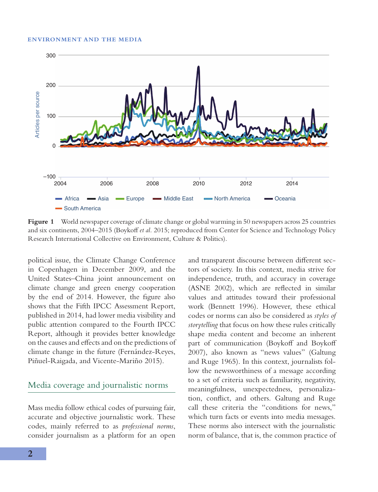

**Figure 1** World newspaper coverage of climate change or global warming in 50 newspapers across 25 countries and six continents, 2004–2015 (Boykoff *et al.* 2015; reproduced from Center for Science and Technology Policy Research International Collective on Environment, Culture & Politics).

political issue, the Climate Change Conference in Copenhagen in December 2009, and the United States–China joint announcement on climate change and green energy cooperation by the end of 2014. However, the figure also shows that the Fifth IPCC Assessment Report, published in 2014, had lower media visibility and public attention compared to the Fourth IPCC Report, although it provides better knowledge on the causes and effects and on the predictions of climate change in the future (Fernández-Reyes, Piñuel-Raigada, and Vicente-Mariño 2015).

### Media coverage and journalistic norms

Mass media follow ethical codes of pursuing fair, accurate and objective journalistic work. These codes, mainly referred to as *professional norms*, consider journalism as a platform for an open and transparent discourse between different sectors of society. In this context, media strive for independence, truth, and accuracy in coverage (ASNE 2002), which are reflected in similar values and attitudes toward their professional work (Bennett 1996). However, these ethical codes or norms can also be considered as *styles of storytelling* that focus on how these rules critically shape media content and become an inherent part of communication (Boykoff and Boykoff 2007), also known as "news values" (Galtung and Ruge 1965). In this context, journalists follow the newsworthiness of a message according to a set of criteria such as familiarity, negativity, meaningfulness, unexpectedness, personalization, conflict, and others. Galtung and Ruge call these criteria the "conditions for news," which turn facts or events into media messages. These norms also intersect with the journalistic norm of balance, that is, the common practice of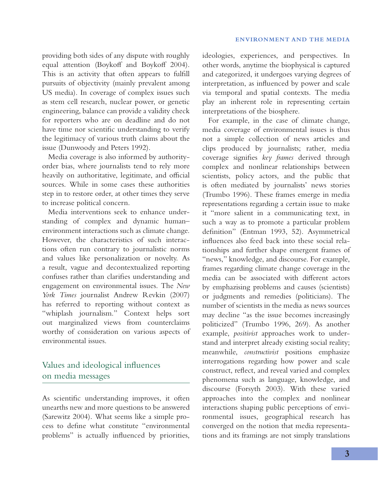providing both sides of any dispute with roughly equal attention (Boykoff and Boykoff 2004). This is an activity that often appears to fulfill pursuits of objectivity (mainly prevalent among US media). In coverage of complex issues such as stem cell research, nuclear power, or genetic engineering, balance can provide a validity check for reporters who are on deadline and do not have time nor scientific understanding to verify the legitimacy of various truth claims about the issue (Dunwoody and Peters 1992).

Media coverage is also informed by authorityorder bias, where journalists tend to rely more heavily on authoritative, legitimate, and official sources. While in some cases these authorities step in to restore order, at other times they serve to increase political concern.

Media interventions seek to enhance understanding of complex and dynamic human– environment interactions such as climate change. However, the characteristics of such interactions often run contrary to journalistic norms and values like personalization or novelty. As a result, vague and decontextualized reporting confuses rather than clarifies understanding and engagement on environmental issues. The *New York Times* journalist Andrew Revkin (2007) has referred to reporting without context as "whiplash journalism." Context helps sort out marginalized views from counterclaims worthy of consideration on various aspects of environmental issues.

## Values and ideological influences on media messages

As scientific understanding improves, it often unearths new and more questions to be answered (Sarewitz 2004). What seems like a simple process to define what constitute "environmental problems" is actually influenced by priorities, ideologies, experiences, and perspectives. In other words, anytime the biophysical is captured and categorized, it undergoes varying degrees of interpretation, as influenced by power and scale via temporal and spatial contexts. The media play an inherent role in representing certain interpretations of the biosphere.

For example, in the case of climate change, media coverage of environmental issues is thus not a simple collection of news articles and clips produced by journalists; rather, media coverage signifies *key frames* derived through complex and nonlinear relationships between scientists, policy actors, and the public that is often mediated by journalists' news stories (Trumbo 1996). These frames emerge in media representations regarding a certain issue to make it "more salient in a communicating text, in such a way as to promote a particular problem definition" (Entman 1993, 52). Asymmetrical influences also feed back into these social relationships and further shape emergent frames of "news," knowledge, and discourse. For example, frames regarding climate change coverage in the media can be associated with different actors by emphazising problems and causes (scientists) or judgments and remedies (politicians). The number of scientists in the media as news sources may decline "as the issue becomes increasingly politicized" (Trumbo 1996, 269). As another example, *positivist* approaches work to understand and interpret already existing social reality; meanwhile, *constructivist* positions emphasize interrogations regarding how power and scale construct, reflect, and reveal varied and complex phenomena such as language, knowledge, and discourse (Forsyth 2003). With these varied approaches into the complex and nonlinear interactions shaping public perceptions of environmental issues, geographical research has converged on the notion that media representations and its framings are not simply translations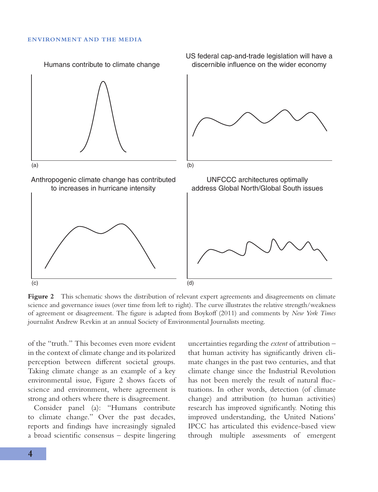

**Figure 2** This schematic shows the distribution of relevant expert agreements and disagreements on climate science and governance issues (over time from left to right). The curve illustrates the relative strength/weakness of agreement or disagreement. The figure is adapted from Boykoff (2011) and comments by *New York Times* journalist Andrew Revkin at an annual Society of Environmental Journalists meeting.

of the "truth." This becomes even more evident in the context of climate change and its polarized perception between different societal groups. Taking climate change as an example of a key environmental issue, Figure 2 shows facets of science and environment, where agreement is strong and others where there is disagreement.

Consider panel (a): "Humans contribute to climate change." Over the past decades, reports and findings have increasingly signaled a broad scientific consensus – despite lingering uncertainties regarding the *extent* of attribution – that human activity has significantly driven climate changes in the past two centuries, and that climate change since the Industrial Revolution has not been merely the result of natural fluctuations. In other words, detection (of climate change) and attribution (to human activities) research has improved significantly. Noting this improved understanding, the United Nations' IPCC has articulated this evidence-based view through multiple assessments of emergent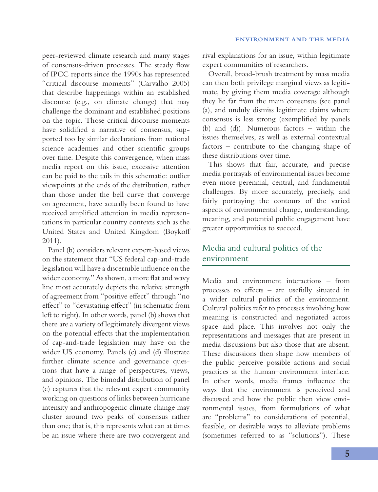peer-reviewed climate research and many stages of consensus-driven processes. The steady flow of IPCC reports since the 1990s has represented "critical discourse moments" (Carvalho 2005) that describe happenings within an established discourse (e.g., on climate change) that may challenge the dominant and established positions on the topic. Those critical discourse moments have solidified a narrative of consensus, supported too by similar declarations from national science academies and other scientific groups over time. Despite this convergence, when mass media report on this issue, excessive attention can be paid to the tails in this schematic: outlier viewpoints at the ends of the distribution, rather than those under the bell curve that converge on agreement, have actually been found to have received amplified attention in media representations in particular country contexts such as the United States and United Kingdom (Boykoff 2011).

Panel (b) considers relevant expert-based views on the statement that "US federal cap-and-trade legislation will have a discernible influence on the wider economy." As shown, a more flat and wavy line most accurately depicts the relative strength of agreement from "positive effect" through "no effect" to "devastating effect" (in schematic from left to right). In other words, panel (b) shows that there are a variety of legitimately divergent views on the potential effects that the implementation of cap-and-trade legislation may have on the wider US economy. Panels (c) and (d) illustrate further climate science and governance questions that have a range of perspectives, views, and opinions. The bimodal distribution of panel (c) captures that the relevant expert community working on questions of links between hurricane intensity and anthropogenic climate change may cluster around two peaks of consensus rather than one; that is, this represents what can at times be an issue where there are two convergent and rival explanations for an issue, within legitimate expert communities of researchers.

Overall, broad-brush treatment by mass media can then both privilege marginal views as legitimate, by giving them media coverage although they lie far from the main consensus (see panel (a), and unduly dismiss legitimate claims where consensus is less strong (exemplified by panels (b) and (d)). Numerous factors – within the issues themselves, as well as external contextual factors – contribute to the changing shape of these distributions over time.

This shows that fair, accurate, and precise media portrayals of environmental issues become even more perennial, central, and fundamental challenges. By more accurately, precisely, and fairly portraying the contours of the varied aspects of environmental change, understanding, meaning, and potential public engagement have greater opportunities to succeed.

# Media and cultural politics of the environment

Media and environment interactions – from processes to effects – are usefully situated in a wider cultural politics of the environment. Cultural politics refer to processes involving how meaning is constructed and negotiated across space and place. This involves not only the representations and messages that are present in media discussions but also those that are absent. These discussions then shape how members of the public perceive possible actions and social practices at the human–environment interface. In other words, media frames influence the ways that the environment is perceived and discussed and how the public then view environmental issues, from formulations of what are "problems" to considerations of potential, feasible, or desirable ways to alleviate problems (sometimes referred to as "solutions"). These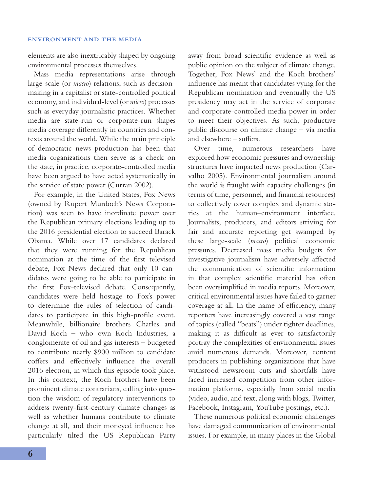elements are also inextricably shaped by ongoing environmental processes themselves.

Mass media representations arise through large-scale (or *macro*) relations, such as decisionmaking in a capitalist or state-controlled political economy, and individual-level (or *micro*) processes such as everyday journalistic practices. Whether media are state-run or corporate-run shapes media coverage differently in countries and contexts around the world. While the main principle of democratic news production has been that media organizations then serve as a check on the state, in practice, corporate-controlled media have been argued to have acted systematically in the service of state power (Curran 2002).

For example, in the United States, Fox News (owned by Rupert Murdoch's News Corporation) was seen to have inordinate power over the Republican primary elections leading up to the 2016 presidential election to succeed Barack Obama. While over 17 candidates declared that they were running for the Republican nomination at the time of the first televised debate, Fox News declared that only 10 candidates were going to be able to participate in the first Fox-televised debate. Consequently, candidates were held hostage to Fox's power to determine the rules of selection of candidates to participate in this high-profile event. Meanwhile, billionaire brothers Charles and David Koch – who own Koch Industries, a conglomerate of oil and gas interests – budgeted to contribute nearly \$900 million to candidate coffers and effectively influence the overall 2016 election, in which this episode took place. In this context, the Koch brothers have been prominent climate contrarians, calling into question the wisdom of regulatory interventions to address twenty-first-century climate changes as well as whether humans contribute to climate change at all, and their moneyed influence has particularly tilted the US Republican Party

away from broad scientific evidence as well as public opinion on the subject of climate change. Together, Fox News' and the Koch brothers' influence has meant that candidates vying for the Republican nomination and eventually the US presidency may act in the service of corporate and corporate-controlled media power in order to meet their objectives. As such, productive public discourse on climate change – via media and elsewhere – suffers.

Over time, numerous researchers have explored how economic pressures and ownership structures have impacted news production (Carvalho 2005). Environmental journalism around the world is fraught with capacity challenges (in terms of time, personnel, and financial resources) to collectively cover complex and dynamic stories at the human–environment interface. Journalists, producers, and editors striving for fair and accurate reporting get swamped by these large-scale (*macro*) political economic pressures. Decreased mass media budgets for investigative journalism have adversely affected the communication of scientific information in that complex scientific material has often been oversimplified in media reports. Moreover, critical environmental issues have failed to garner coverage at all. In the name of efficiency, many reporters have increasingly covered a vast range of topics (called "beats") under tighter deadlines, making it as difficult as ever to satisfactorily portray the complexities of environmental issues amid numerous demands. Moreover, content producers in publishing organizations that have withstood newsroom cuts and shortfalls have faced increased competition from other information platforms, especially from social media (video, audio, and text, along with blogs, Twitter, Facebook, Instagram, YouTube postings, etc.).

These numerous political economic challenges have damaged communication of environmental issues. For example, in many places in the Global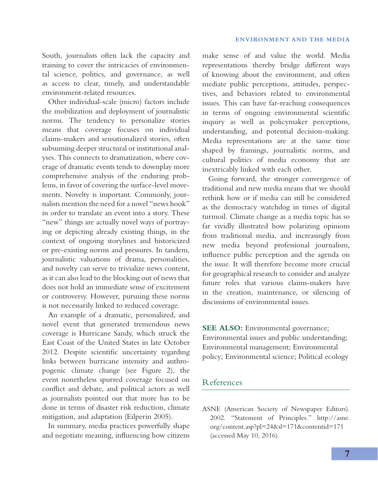South, journalists often lack the capacity and training to cover the intricacies of environmental science, politics, and governance, as well as access to clear, timely, and understandable environment-related resources.

Other individual-scale (micro) factors include the mobilization and deployment of journalistic norms. The tendency to personalize stories means that coverage focuses on individual claims-makers and sensationalized stories, often subsuming deeper structural or institutional analyses. This connects to dramatization, where coverage of dramatic events tends to downplay more comprehensive analysis of the enduring problems, in favor of covering the surface-level movements. Novelty is important. Commonly, journalists mention the need for a novel "news hook" in order to translate an event into a story. These "new" things are actually novel ways of portraying or depicting already existing things, in the context of ongoing storylines and historicized or pre-existing norms and pressures. In tandem, journalistic valuations of drama, personalities, and novelty can serve to trivialize news content, as it can also lead to the blocking out of news that does not hold an immediate sense of excitement or controversy. However, pursuing these norms is not necessarily linked to reduced coverage.

An example of a dramatic, personalized, and novel event that generated tremendous news coverage is Hurricane Sandy, which struck the East Coast of the United States in late October 2012. Despite scientific uncertainty regarding links between hurricane intensity and anthropogenic climate change (see Figure 2), the event nonetheless spurred coverage focused on conflict and debate, and political actors as well as journalists pointed out that more has to be done in terms of disaster risk reduction, climate mitigation, and adaptation (Eilperin 2005).

In summary, media practices powerfully shape and negotiate meaning, influencing how citizens

make sense of and value the world. Media representations thereby bridge different ways of knowing about the environment, and often mediate public perceptions, attitudes, perspectives, and behaviors related to environmental issues. This can have far-reaching consequences in terms of ongoing environmental scientific inquiry as well as policymaker perceptions, understanding, and potential decision-making. Media representations are at the same time shaped by framings, journalistic norms, and cultural politics of media economy that are inextricably linked with each other.

Going forward, the stronger convergence of traditional and new media means that we should rethink how or if media can still be considered as the democracy watchdog in times of digital turmoil. Climate change as a media topic has so far vividly illustrated how polarizing opinions from traditional media, and increasingly from new media beyond professional journalism, influence public perception and the agenda on the issue. It will therefore become more crucial for geographical research to consider and analyze future roles that various claims-makers have in the creation, maintenance, or silencing of discussions of environmental issues.

**SEE ALSO:** Environmental governance; Environmental issues and public understanding; Environmental management; Environmental policy; Environmental science; Political ecology

### References

ASNE (American Society of Newspaper Editors). 2002. "Statement of Principles." http://asne. org/content.asp?pl=24&sl=171&contentid=171 (accessed May 10, 2016).